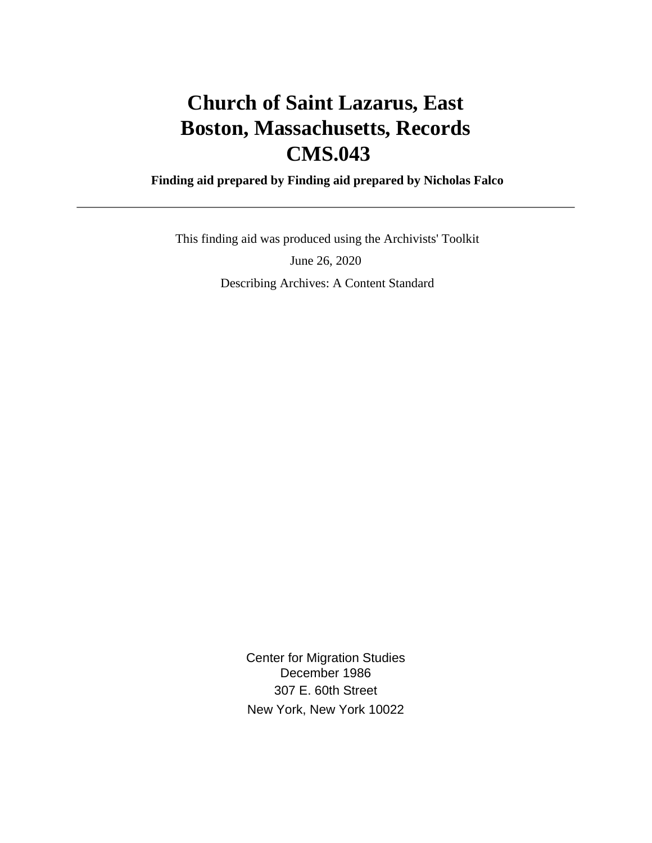# **Church of Saint Lazarus, East Boston, Massachusetts, Records CMS.043**

 **Finding aid prepared by Finding aid prepared by Nicholas Falco**

 This finding aid was produced using the Archivists' Toolkit June 26, 2020 Describing Archives: A Content Standard

> Center for Migration Studies December 1986 307 E. 60th Street New York, New York 10022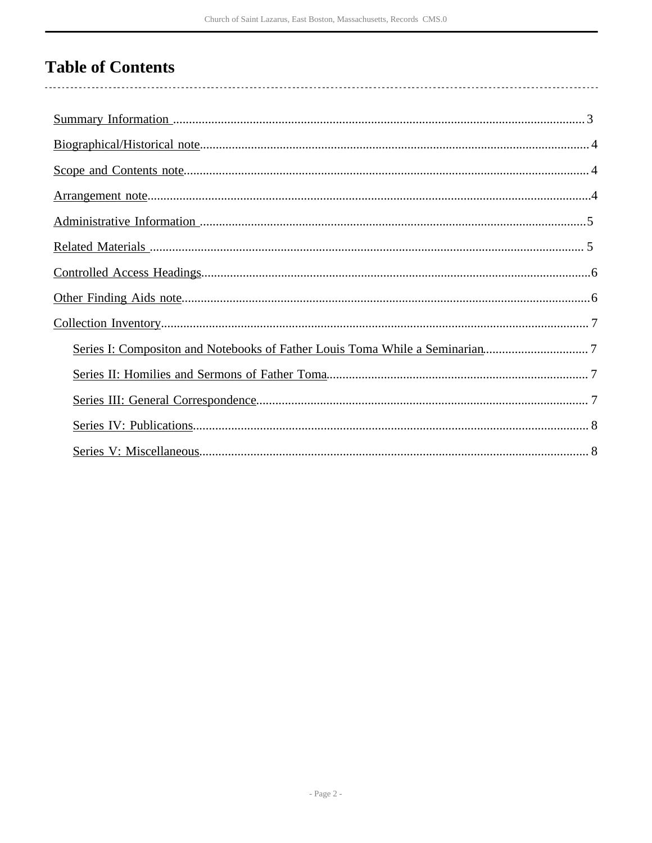# **Table of Contents**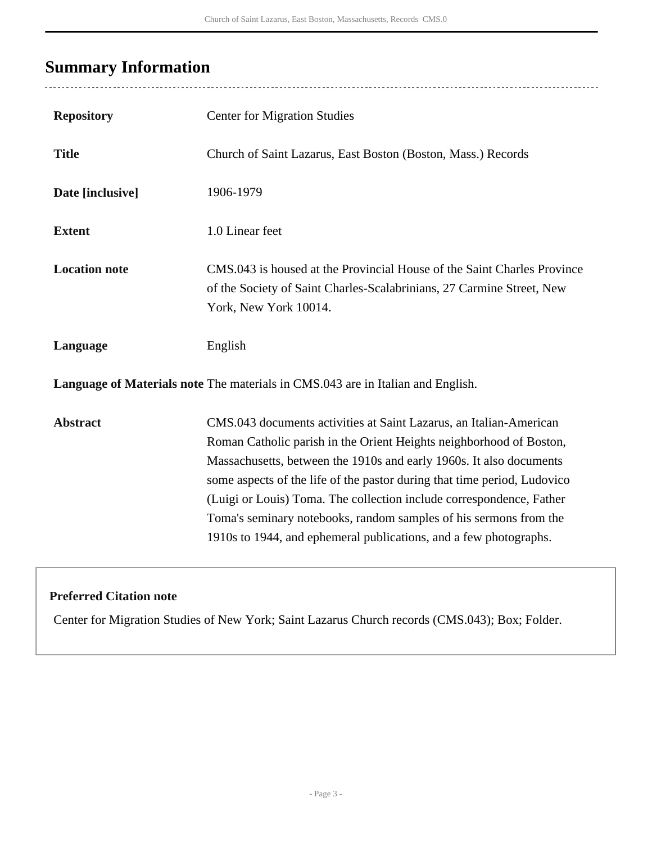## <span id="page-2-0"></span>**Summary Information**

 $\overline{a}$ 

| <b>Repository</b>                                                               | <b>Center for Migration Studies</b>                                                                                                                                                                                                                                                                                                                                                                                                                                                                            |  |  |
|---------------------------------------------------------------------------------|----------------------------------------------------------------------------------------------------------------------------------------------------------------------------------------------------------------------------------------------------------------------------------------------------------------------------------------------------------------------------------------------------------------------------------------------------------------------------------------------------------------|--|--|
| <b>Title</b>                                                                    | Church of Saint Lazarus, East Boston (Boston, Mass.) Records                                                                                                                                                                                                                                                                                                                                                                                                                                                   |  |  |
| Date [inclusive]                                                                | 1906-1979                                                                                                                                                                                                                                                                                                                                                                                                                                                                                                      |  |  |
| <b>Extent</b>                                                                   | 1.0 Linear feet                                                                                                                                                                                                                                                                                                                                                                                                                                                                                                |  |  |
| <b>Location note</b>                                                            | CMS.043 is housed at the Provincial House of the Saint Charles Province<br>of the Society of Saint Charles-Scalabrinians, 27 Carmine Street, New<br>York, New York 10014.                                                                                                                                                                                                                                                                                                                                      |  |  |
| Language                                                                        | English                                                                                                                                                                                                                                                                                                                                                                                                                                                                                                        |  |  |
| Language of Materials note The materials in CMS.043 are in Italian and English. |                                                                                                                                                                                                                                                                                                                                                                                                                                                                                                                |  |  |
| <b>Abstract</b>                                                                 | CMS.043 documents activities at Saint Lazarus, an Italian-American<br>Roman Catholic parish in the Orient Heights neighborhood of Boston,<br>Massachusetts, between the 1910s and early 1960s. It also documents<br>some aspects of the life of the pastor during that time period, Ludovico<br>(Luigi or Louis) Toma. The collection include correspondence, Father<br>Toma's seminary notebooks, random samples of his sermons from the<br>1910s to 1944, and ephemeral publications, and a few photographs. |  |  |

### **Preferred Citation note**

Center for Migration Studies of New York; Saint Lazarus Church records (CMS.043); Box; Folder.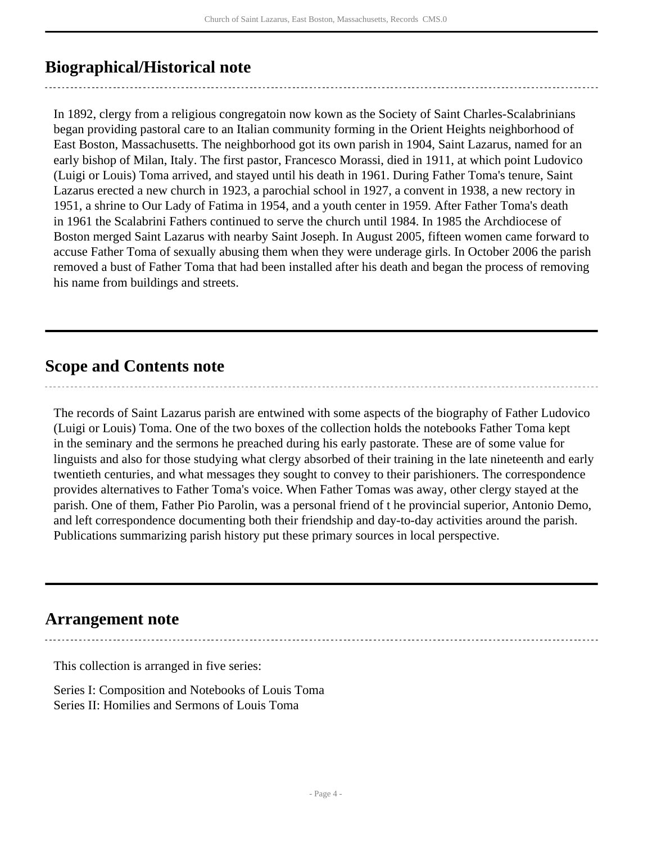## <span id="page-3-0"></span>**Biographical/Historical note**

In 1892, clergy from a religious congregatoin now kown as the Society of Saint Charles-Scalabrinians began providing pastoral care to an Italian community forming in the Orient Heights neighborhood of East Boston, Massachusetts. The neighborhood got its own parish in 1904, Saint Lazarus, named for an early bishop of Milan, Italy. The first pastor, Francesco Morassi, died in 1911, at which point Ludovico (Luigi or Louis) Toma arrived, and stayed until his death in 1961. During Father Toma's tenure, Saint Lazarus erected a new church in 1923, a parochial school in 1927, a convent in 1938, a new rectory in 1951, a shrine to Our Lady of Fatima in 1954, and a youth center in 1959. After Father Toma's death in 1961 the Scalabrini Fathers continued to serve the church until 1984. In 1985 the Archdiocese of Boston merged Saint Lazarus with nearby Saint Joseph. In August 2005, fifteen women came forward to accuse Father Toma of sexually abusing them when they were underage girls. In October 2006 the parish removed a bust of Father Toma that had been installed after his death and began the process of removing his name from buildings and streets.

### <span id="page-3-1"></span>**Scope and Contents note**

The records of Saint Lazarus parish are entwined with some aspects of the biography of Father Ludovico (Luigi or Louis) Toma. One of the two boxes of the collection holds the notebooks Father Toma kept in the seminary and the sermons he preached during his early pastorate. These are of some value for linguists and also for those studying what clergy absorbed of their training in the late nineteenth and early twentieth centuries, and what messages they sought to convey to their parishioners. The correspondence provides alternatives to Father Toma's voice. When Father Tomas was away, other clergy stayed at the parish. One of them, Father Pio Parolin, was a personal friend of t he provincial superior, Antonio Demo, and left correspondence documenting both their friendship and day-to-day activities around the parish. Publications summarizing parish history put these primary sources in local perspective.

### <span id="page-3-2"></span>**Arrangement note**

This collection is arranged in five series:

Series I: Composition and Notebooks of Louis Toma Series II: Homilies and Sermons of Louis Toma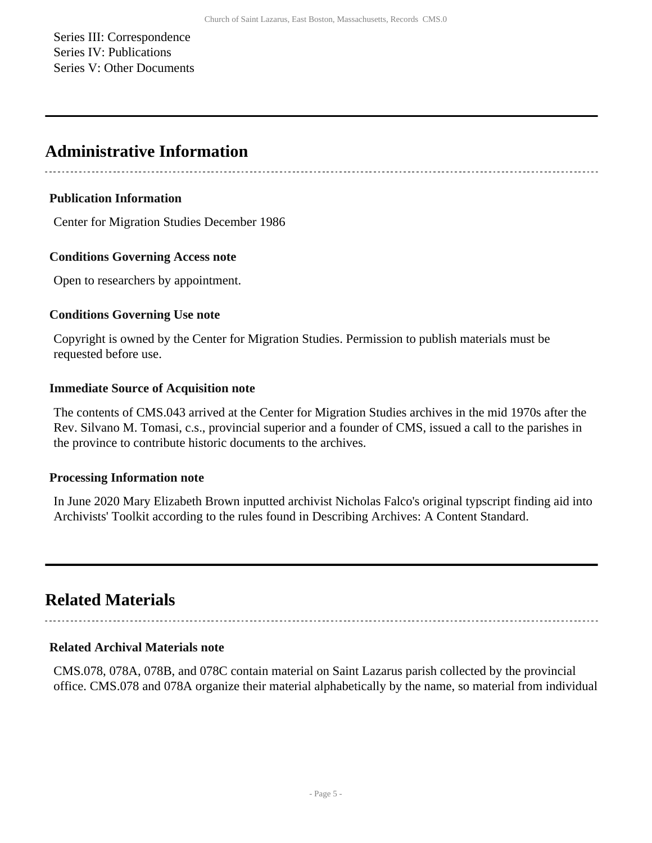Series III: Correspondence Series IV: Publications Series V: Other Documents

### <span id="page-4-0"></span>**Administrative Information**

#### **Publication Information**

Center for Migration Studies December 1986

#### **Conditions Governing Access note**

Open to researchers by appointment.

#### **Conditions Governing Use note**

Copyright is owned by the Center for Migration Studies. Permission to publish materials must be requested before use.

#### **Immediate Source of Acquisition note**

The contents of CMS.043 arrived at the Center for Migration Studies archives in the mid 1970s after the Rev. Silvano M. Tomasi, c.s., provincial superior and a founder of CMS, issued a call to the parishes in the province to contribute historic documents to the archives.

#### **Processing Information note**

In June 2020 Mary Elizabeth Brown inputted archivist Nicholas Falco's original typscript finding aid into Archivists' Toolkit according to the rules found in Describing Archives: A Content Standard.

## <span id="page-4-1"></span>**Related Materials**

#### **Related Archival Materials note**

CMS.078, 078A, 078B, and 078C contain material on Saint Lazarus parish collected by the provincial office. CMS.078 and 078A organize their material alphabetically by the name, so material from individual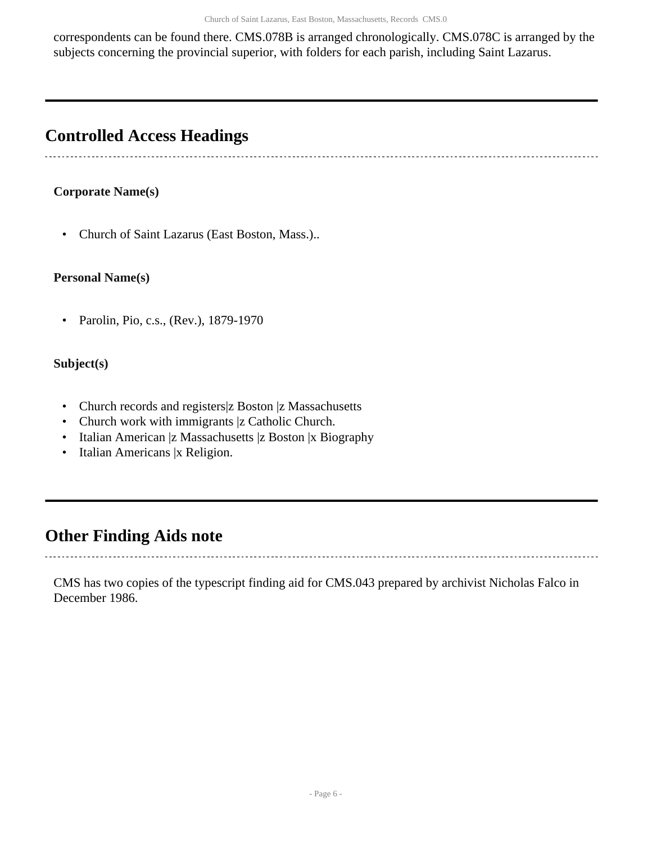correspondents can be found there. CMS.078B is arranged chronologically. CMS.078C is arranged by the subjects concerning the provincial superior, with folders for each parish, including Saint Lazarus.

## <span id="page-5-0"></span>**Controlled Access Headings**

### **Corporate Name(s)**

• Church of Saint Lazarus (East Boston, Mass.)..

#### **Personal Name(s)**

• Parolin, Pio, c.s., (Rev.), 1879-1970

#### **Subject(s)**

- Church records and registers z Boston z Massachusetts
- Church work with immigrants |z Catholic Church.
- Italian American |z Massachusetts |z Boston |x Biography
- Italian Americans |x Religion.

### <span id="page-5-1"></span>**Other Finding Aids note**

CMS has two copies of the typescript finding aid for CMS.043 prepared by archivist Nicholas Falco in December 1986.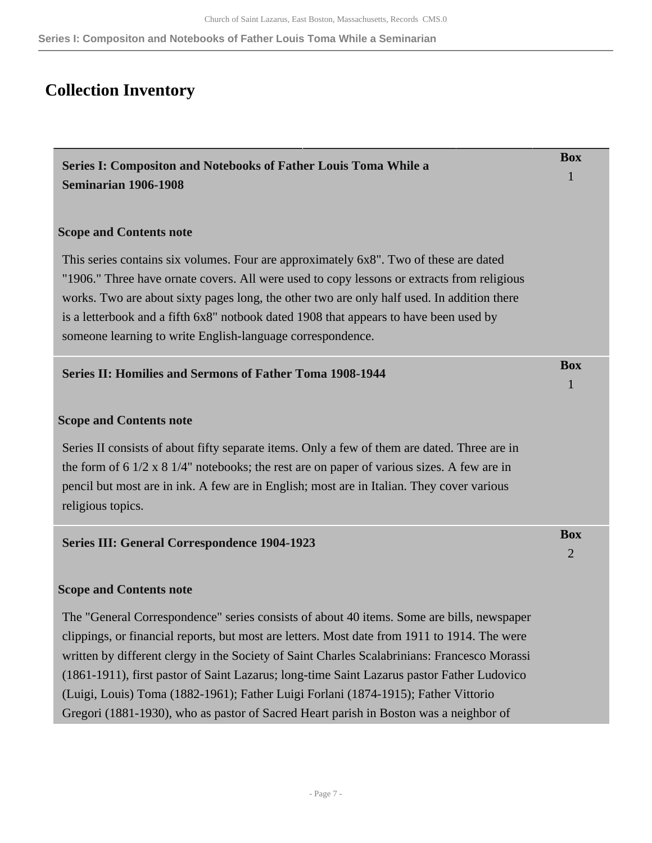**Series I: Compositon and Notebooks of Father Louis Toma While a Seminarian**

## <span id="page-6-0"></span>**Collection Inventory**

<span id="page-6-3"></span><span id="page-6-2"></span><span id="page-6-1"></span>

| <b>Series I: Compositon and Notebooks of Father Louis Toma While a</b><br>Seminarian 1906-1908                                                                                                                                                                                                                                                                                                                                                                            | <b>Box</b>                   |
|---------------------------------------------------------------------------------------------------------------------------------------------------------------------------------------------------------------------------------------------------------------------------------------------------------------------------------------------------------------------------------------------------------------------------------------------------------------------------|------------------------------|
| <b>Scope and Contents note</b>                                                                                                                                                                                                                                                                                                                                                                                                                                            |                              |
| This series contains six volumes. Four are approximately 6x8". Two of these are dated<br>"1906." Three have ornate covers. All were used to copy lessons or extracts from religious<br>works. Two are about sixty pages long, the other two are only half used. In addition there<br>is a letterbook and a fifth 6x8" notbook dated 1908 that appears to have been used by<br>someone learning to write English-language correspondence.                                  |                              |
| <b>Series II: Homilies and Sermons of Father Toma 1908-1944</b>                                                                                                                                                                                                                                                                                                                                                                                                           | <b>Box</b>                   |
| <b>Scope and Contents note</b><br>Series II consists of about fifty separate items. Only a few of them are dated. Three are in<br>the form of $6 \frac{1}{2} \times 8 \frac{1}{4}$ " notebooks; the rest are on paper of various sizes. A few are in<br>pencil but most are in ink. A few are in English; most are in Italian. They cover various<br>religious topics.                                                                                                    |                              |
| <b>Series III: General Correspondence 1904-1923</b>                                                                                                                                                                                                                                                                                                                                                                                                                       | <b>Box</b><br>$\overline{2}$ |
| <b>Scope and Contents note</b><br>The "General Correspondence" series consists of about 40 items. Some are bills, newspaper                                                                                                                                                                                                                                                                                                                                               |                              |
| clippings, or financial reports, but most are letters. Most date from 1911 to 1914. The were<br>written by different clergy in the Society of Saint Charles Scalabrinians: Francesco Morassi<br>(1861-1911), first pastor of Saint Lazarus; long-time Saint Lazarus pastor Father Ludovico<br>(Luigi, Louis) Toma (1882-1961); Father Luigi Forlani (1874-1915); Father Vittorio<br>Gregori (1881-1930), who as pastor of Sacred Heart parish in Boston was a neighbor of |                              |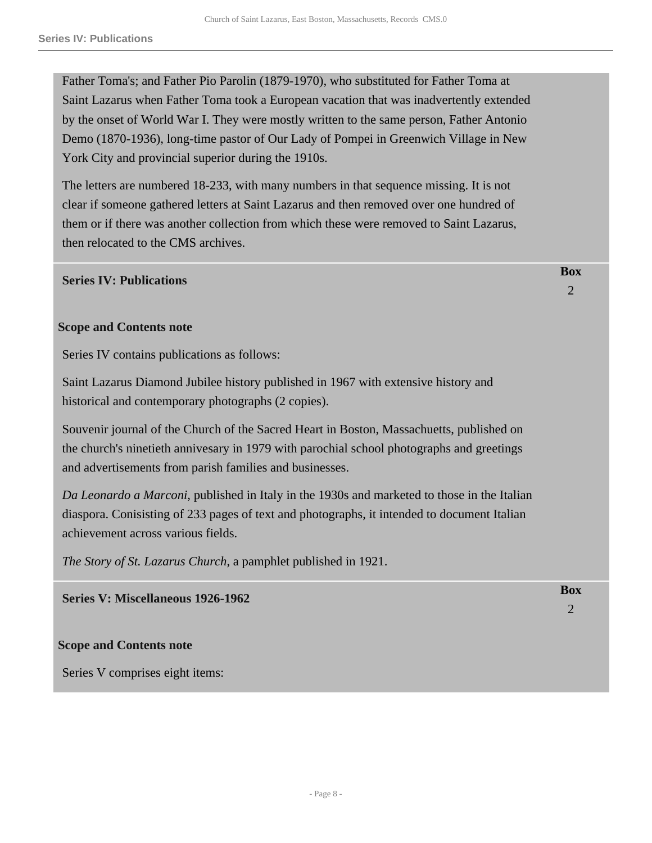Father Toma's; and Father Pio Parolin (1879-1970), who substituted for Father Toma at Saint Lazarus when Father Toma took a European vacation that was inadvertently extended by the onset of World War I. They were mostly written to the same person, Father Antonio Demo (1870-1936), long-time pastor of Our Lady of Pompei in Greenwich Village in New York City and provincial superior during the 1910s.

The letters are numbered 18-233, with many numbers in that sequence missing. It is not clear if someone gathered letters at Saint Lazarus and then removed over one hundred of them or if there was another collection from which these were removed to Saint Lazarus, then relocated to the CMS archives.

#### <span id="page-7-0"></span>**Series IV: Publications**

#### **Scope and Contents note**

Series IV contains publications as follows:

Saint Lazarus Diamond Jubilee history published in 1967 with extensive history and historical and contemporary photographs (2 copies).

Souvenir journal of the Church of the Sacred Heart in Boston, Massachuetts, published on the church's ninetieth annivesary in 1979 with parochial school photographs and greetings and advertisements from parish families and businesses.

*Da Leonardo a Marconi*, published in Italy in the 1930s and marketed to those in the Italian diaspora. Conisisting of 233 pages of text and photographs, it intended to document Italian achievement across various fields.

*The Story of St. Lazarus Church*, a pamphlet published in 1921.

<span id="page-7-1"></span>**Series V: Miscellaneous 1926-1962** 

**Scope and Contents note**

Series V comprises eight items:

**Box** 2

**Box**

 $\overline{2}$